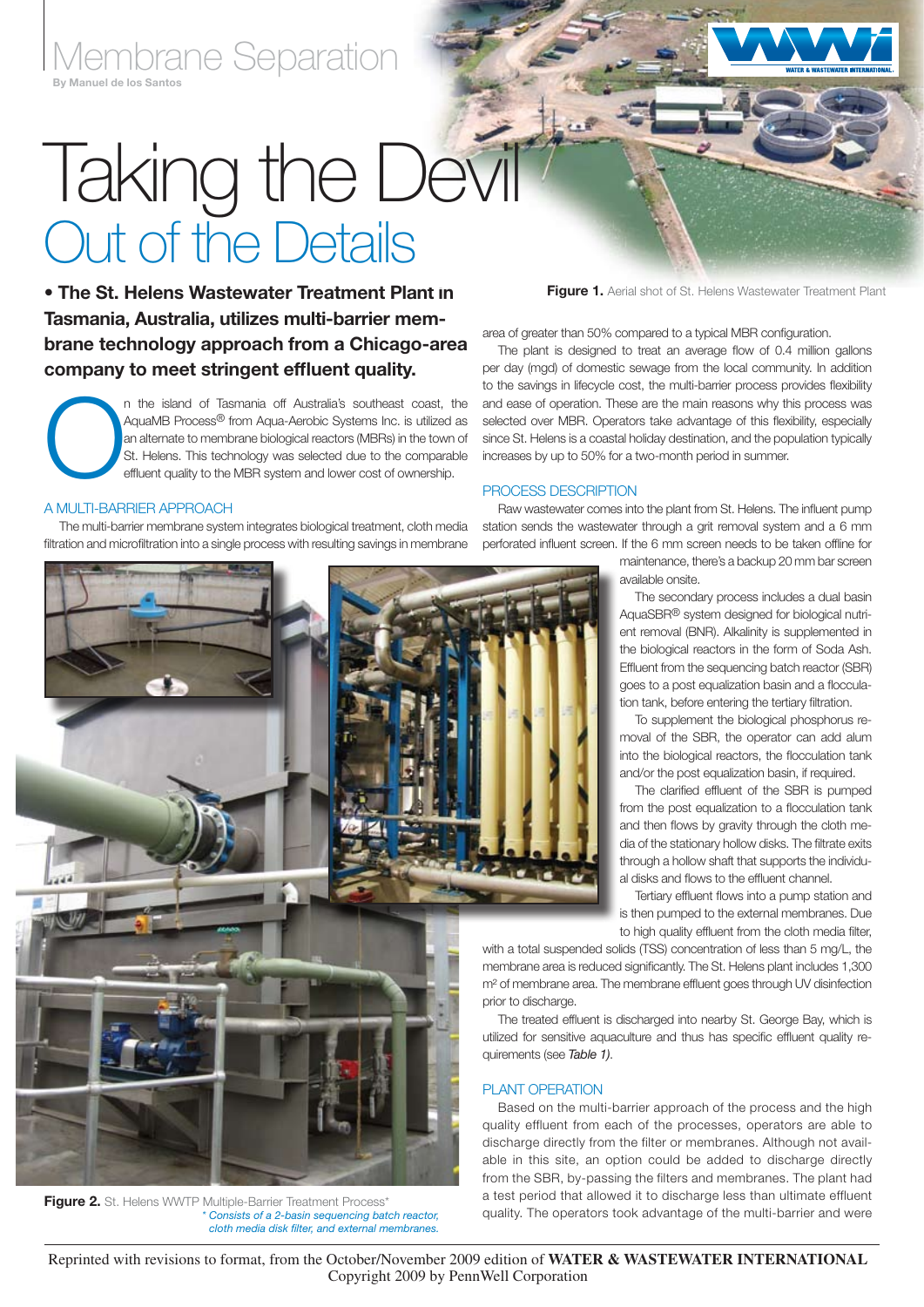Membrane Separation

# **Taking the Devil** Out of the Details

• The St. Helens Wastewater Treatment Plant in Tasmania, Australia, utilizes multi-barrier membrane technology approach from a Chicago-area company to meet stringent effluent quality.

n the island of Tasmania off Australia's southeast coast, the AquaMB Process® from Aqua-Aerobic Systems Inc. is utilized as an alternate to membrane biological reactors (MBRs) in the town of St. Helens. This technology was AquaMB Process<sup>®</sup> from Aqua-Aerobic Systems Inc. is utilized as an alternate to membrane biological reactors (MBRs) in the town of St. Helens. This technology was selected due to the comparable effluent quality to the MBR system and lower cost of ownership.

### A Multi-Barrier Approach

The multi-barrier membrane system integrates biological treatment, cloth media filtration and microfiltration into a single process with resulting savings in membrane

Figure 1. Aerial shot of St. Helens Wastewater Treatment Plant

area of greater than 50% compared to a typical MBR configuration.

The plant is designed to treat an average flow of 0.4 million gallons per day (mgd) of domestic sewage from the local community. In addition to the savings in lifecycle cost, the multi-barrier process provides flexibility and ease of operation. These are the main reasons why this process was selected over MBR. Operators take advantage of this flexibility, especially since St. Helens is a coastal holiday destination, and the population typically increases by up to 50% for a two-month period in summer.

#### Process Description

Raw wastewater comes into the plant from St. Helens. The influent pump station sends the wastewater through a grit removal system and a 6 mm perforated influent screen. If the 6 mm screen needs to be taken offline for

> maintenance, there's a backup 20 mm bar screen available onsite.

The secondary process includes a dual basin AquaSBR® system designed for biological nutrient removal (BNR). Alkalinity is supplemented in the biological reactors in the form of Soda Ash. Effluent from the sequencing batch reactor (SBR) goes to a post equalization basin and a flocculation tank, before entering the tertiary filtration.

To supplement the biological phosphorus removal of the SBR, the operator can add alum into the biological reactors, the flocculation tank and/or the post equalization basin, if required.

The clarified effluent of the SBR is pumped from the post equalization to a flocculation tank and then flows by gravity through the cloth media of the stationary hollow disks. The filtrate exits through a hollow shaft that supports the individual disks and flows to the effluent channel.

Tertiary effluent flows into a pump station and is then pumped to the external membranes. Due to high quality effluent from the cloth media filter,

with a total suspended solids (TSS) concentration of less than 5 mg/L, the membrane area is reduced significantly. The St. Helens plant includes 1,300 m² of membrane area. The membrane effluent goes through UV disinfection prior to discharge.

The treated effluent is discharged into nearby St. George Bay, which is utilized for sensitive aquaculture and thus has specific effluent quality requirements (see *Table 1)*.

### PI ANT OPFRATION

Based on the multi-barrier approach of the process and the high quality effluent from each of the processes, operators are able to discharge directly from the filter or membranes. Although not available in this site, an option could be added to discharge directly from the SBR, by-passing the filters and membranes. The plant had a test period that allowed it to discharge less than ultimate effluent quality. The operators took advantage of the multi-barrier and were

Figure 2. St. Helens WWTP Multiple-Barrier Treatment Process\* *\* Consists of a 2-basin sequencing batch reactor, cloth media disk filter, and external membranes.*

Reprinted with revisions to format, from the October/November 2009 edition of **WATER & WASTEWATER INTERNATIONAL** Copyright 2009 by PennWell Corporation



## By Manuel de los Santos